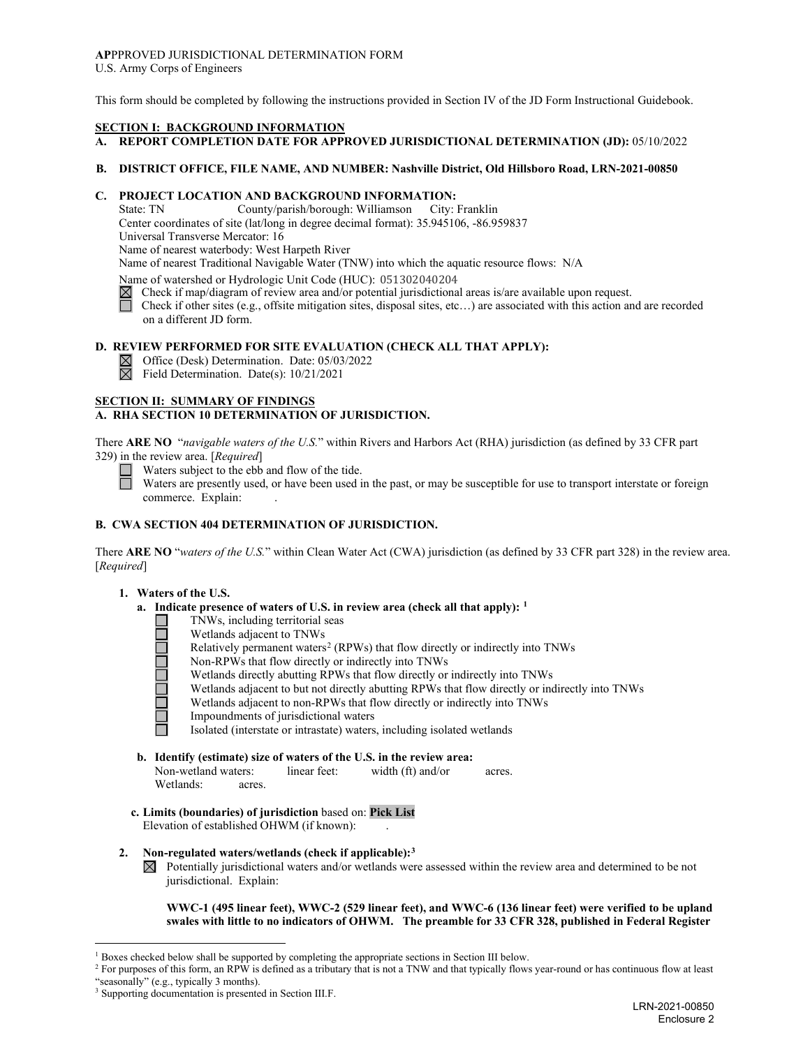# **AP**PPROVED JURISDICTIONAL DETERMINATION FORM

U.S. Army Corps of Engineers

This form should be completed by following the instructions provided in Section IV of the JD Form Instructional Guidebook.

## **SECTION I: BACKGROUND INFORMATION**

## **A. REPORT COMPLETION DATE FOR APPROVED JURISDICTIONAL DETERMINATION (JD):** 05/10/2022

#### **B. DISTRICT OFFICE, FILE NAME, AND NUMBER: Nashville District, Old Hillsboro Road, LRN-2021-00850**

# **C. PROJECT LOCATION AND BACKGROUND INFORMATION:**

County/parish/borough: Williamson City: Franklin Center coordinates of site (lat/long in degree decimal format): 35.945106, -86.959837

Universal Transverse Mercator: 16

Name of nearest waterbody: West Harpeth River

Name of nearest Traditional Navigable Water (TNW) into which the aquatic resource flows: N/A

Name of watershed or Hydrologic Unit Code (HUC): 051302040204

- $\boxtimes$  Check if map/diagram of review area and/or potential jurisdictional areas is/are available upon request.
- Check if other sites (e.g., offsite mitigation sites, disposal sites, etc…) are associated with this action and are recorded on a different JD form.

#### **D. REVIEW PERFORMED FOR SITE EVALUATION (CHECK ALL THAT APPLY):**

- $\boxtimes$  Office (Desk) Determination. Date: 05/03/2022
- Field Determination. Date(s): 10/21/2021

## **SECTION II: SUMMARY OF FINDINGS**

## **A. RHA SECTION 10 DETERMINATION OF JURISDICTION.**

There **ARE NO** "*navigable waters of the U.S.*" within Rivers and Harbors Act (RHA) jurisdiction (as defined by 33 CFR part 329) in the review area. [*Required*]

Waters subject to the ebb and flow of the tide.

Waters are presently used, or have been used in the past, or may be susceptible for use to transport interstate or foreign commerce. Explain:

## **B. CWA SECTION 404 DETERMINATION OF JURISDICTION.**

There **ARE NO** "*waters of the U.S.*" within Clean Water Act (CWA) jurisdiction (as defined by 33 CFR part 328) in the review area. [*Required*]

#### **1. Waters of the U.S.**

- **a. Indicate presence of waters of U.S. in review area (check all that apply): [1](#page-0-0)**
	- TNWs, including territorial seas
		- Wetlands adjacent to TNWs
	- Relatively permanent waters<sup>[2](#page-0-1)</sup> (RPWs) that flow directly or indirectly into TNWs
	- Non-RPWs that flow directly or indirectly into TNWs
	- Wetlands directly abutting RPWs that flow directly or indirectly into TNWs
	- Wetlands adjacent to but not directly abutting RPWs that flow directly or indirectly into TNWs
		- Wetlands adjacent to non-RPWs that flow directly or indirectly into TNWs
	- Impoundments of jurisdictional waters

Isolated (interstate or intrastate) waters, including isolated wetlands

**b. Identify (estimate) size of waters of the U.S. in the review area:** Non-wetland waters: linear feet: width (ft) and/or acres.

**c. Limits (boundaries) of jurisdiction** based on: **Pick List**

Elevation of established OHWM (if known): .

- **2. Non-regulated waters/wetlands (check if applicable):[3](#page-0-2)**
	- $\boxtimes$  Potentially jurisdictional waters and/or wetlands were assessed within the review area and determined to be not jurisdictional. Explain:

**WWC-1 (495 linear feet), WWC-2 (529 linear feet), and WWC-6 (136 linear feet) were verified to be upland swales with little to no indicators of OHWM. The preamble for 33 CFR 328, published in Federal Register** 

Wetlands: acres.

 $1$  Boxes checked below shall be supported by completing the appropriate sections in Section III below.

<span id="page-0-1"></span><span id="page-0-0"></span><sup>2</sup> For purposes of this form, an RPW is defined as a tributary that is not a TNW and that typically flows year-round or has continuous flow at least "seasonally" (e.g., typically 3 months).

<span id="page-0-2"></span><sup>&</sup>lt;sup>3</sup> Supporting documentation is presented in Section III.F.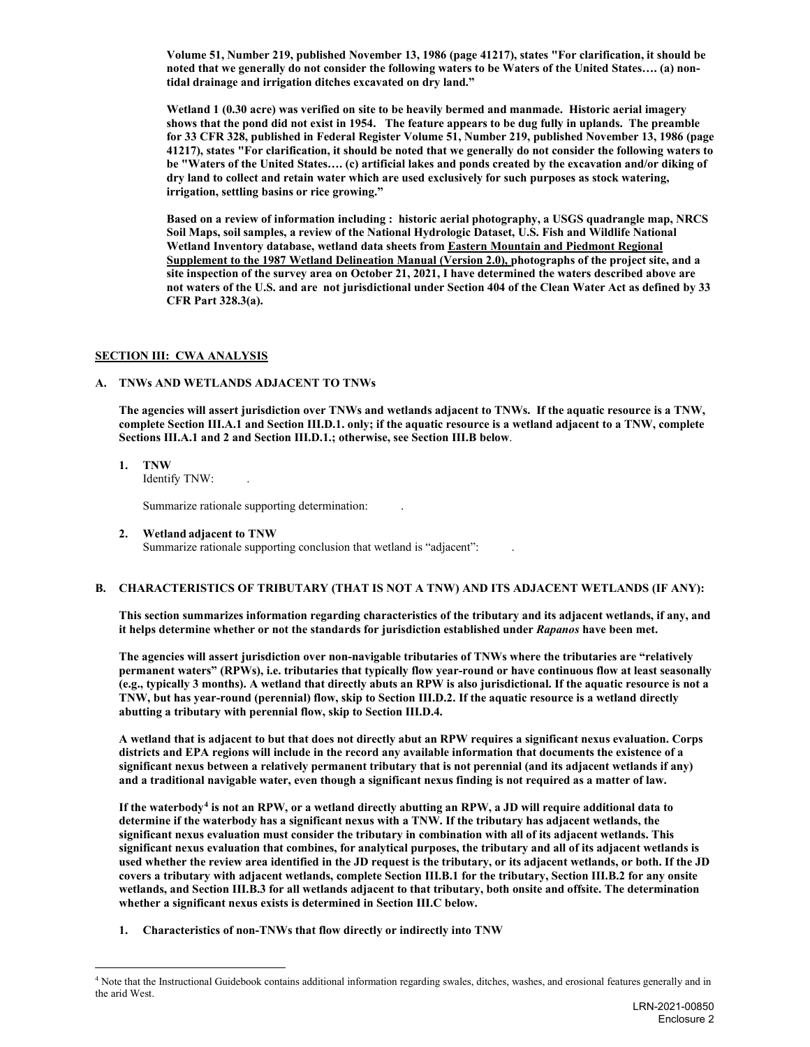**Volume 51, Number 219, published November 13, 1986 (page 41217), states "For clarification, it should be noted that we generally do not consider the following waters to be Waters of the United States…. (a) nontidal drainage and irrigation ditches excavated on dry land."** 

**Wetland 1 (0.30 acre) was verified on site to be heavily bermed and manmade. Historic aerial imagery shows that the pond did not exist in 1954. The feature appears to be dug fully in uplands. The preamble for 33 CFR 328, published in Federal Register Volume 51, Number 219, published November 13, 1986 (page 41217), states "For clarification, it should be noted that we generally do not consider the following waters to be "Waters of the United States…. (c) artificial lakes and ponds created by the excavation and/or diking of dry land to collect and retain water which are used exclusively for such purposes as stock watering, irrigation, settling basins or rice growing."** 

**Based on a review of information including : historic aerial photography, a USGS quadrangle map, NRCS Soil Maps, soil samples, a review of the National Hydrologic Dataset, U.S. Fish and Wildlife National Wetland Inventory database, wetland data sheets from Eastern Mountain and Piedmont Regional Supplement to the 1987 Wetland Delineation Manual (Version 2.0), photographs of the project site, and a site inspection of the survey area on October 21, 2021, I have determined the waters described above are not waters of the U.S. and are not jurisdictional under Section 404 of the Clean Water Act as defined by 33 CFR Part 328.3(a).**

## **SECTION III: CWA ANALYSIS**

## **A. TNWs AND WETLANDS ADJACENT TO TNWs**

**The agencies will assert jurisdiction over TNWs and wetlands adjacent to TNWs. If the aquatic resource is a TNW, complete Section III.A.1 and Section III.D.1. only; if the aquatic resource is a wetland adjacent to a TNW, complete Sections III.A.1 and 2 and Section III.D.1.; otherwise, see Section III.B below**.

**1. TNW**

Identify TNW: .

Summarize rationale supporting determination: .

**2. Wetland adjacent to TNW** Summarize rationale supporting conclusion that wetland is "adjacent":

## **B. CHARACTERISTICS OF TRIBUTARY (THAT IS NOT A TNW) AND ITS ADJACENT WETLANDS (IF ANY):**

**This section summarizes information regarding characteristics of the tributary and its adjacent wetlands, if any, and it helps determine whether or not the standards for jurisdiction established under** *Rapanos* **have been met.**

**The agencies will assert jurisdiction over non-navigable tributaries of TNWs where the tributaries are "relatively permanent waters" (RPWs), i.e. tributaries that typically flow year-round or have continuous flow at least seasonally (e.g., typically 3 months). A wetland that directly abuts an RPW is also jurisdictional. If the aquatic resource is not a TNW, but has year-round (perennial) flow, skip to Section III.D.2. If the aquatic resource is a wetland directly abutting a tributary with perennial flow, skip to Section III.D.4.**

**A wetland that is adjacent to but that does not directly abut an RPW requires a significant nexus evaluation. Corps districts and EPA regions will include in the record any available information that documents the existence of a significant nexus between a relatively permanent tributary that is not perennial (and its adjacent wetlands if any) and a traditional navigable water, even though a significant nexus finding is not required as a matter of law.**

**If the waterbody[4](#page-1-0) is not an RPW, or a wetland directly abutting an RPW, a JD will require additional data to determine if the waterbody has a significant nexus with a TNW. If the tributary has adjacent wetlands, the significant nexus evaluation must consider the tributary in combination with all of its adjacent wetlands. This significant nexus evaluation that combines, for analytical purposes, the tributary and all of its adjacent wetlands is used whether the review area identified in the JD request is the tributary, or its adjacent wetlands, or both. If the JD covers a tributary with adjacent wetlands, complete Section III.B.1 for the tributary, Section III.B.2 for any onsite wetlands, and Section III.B.3 for all wetlands adjacent to that tributary, both onsite and offsite. The determination whether a significant nexus exists is determined in Section III.C below.**

**1. Characteristics of non-TNWs that flow directly or indirectly into TNW**

<span id="page-1-0"></span><sup>&</sup>lt;sup>4</sup> Note that the Instructional Guidebook contains additional information regarding swales, ditches, washes, and erosional features generally and in the arid West.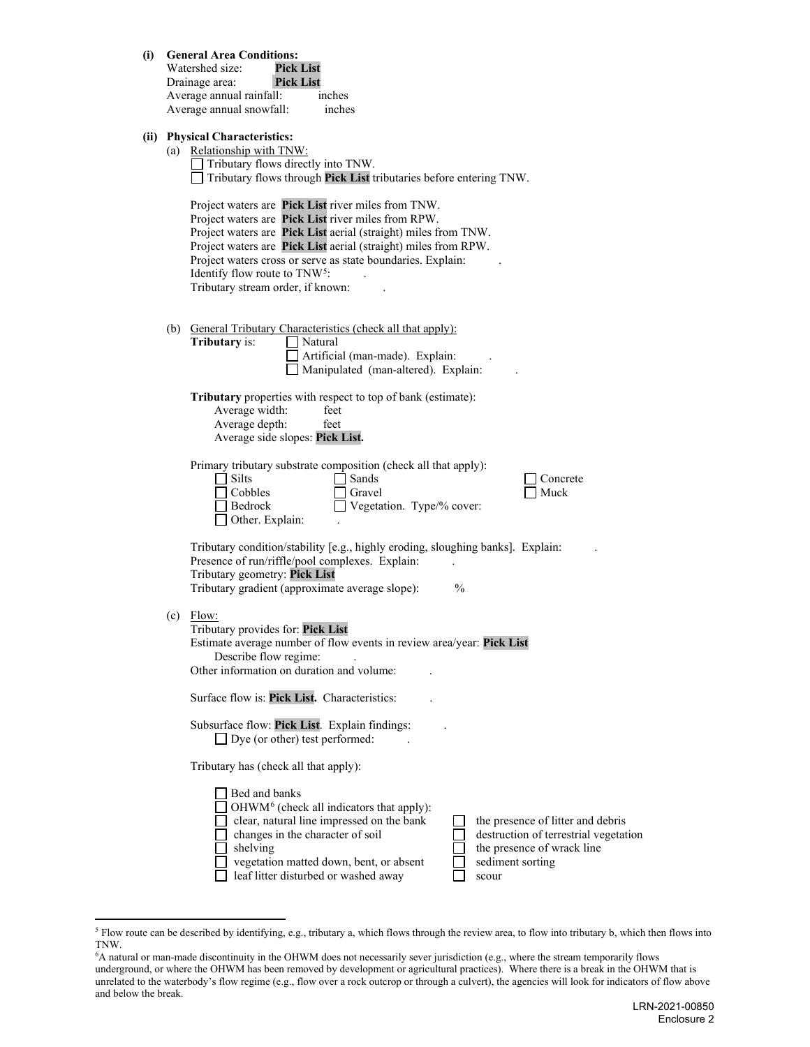| (i) General Area Conditions: |  |
|------------------------------|--|
|------------------------------|--|

| Watershed size:          | <b>Pick List</b> |        |
|--------------------------|------------------|--------|
| Drainage area:           | <b>Pick List</b> |        |
| Average annual rainfall: |                  | inches |
| Average annual snowfall: |                  | inches |

## **(ii) Physical Characteristics:**

|     | I hysical Unafacteristics.<br>(a) Relationship with TNW:<br>Tributary flows directly into TNW.<br>Tributary flows through Pick List tributaries before entering TNW.                                                                                                                                                                                                                           |
|-----|------------------------------------------------------------------------------------------------------------------------------------------------------------------------------------------------------------------------------------------------------------------------------------------------------------------------------------------------------------------------------------------------|
|     | Project waters are Pick List river miles from TNW.<br>Project waters are Pick List river miles from RPW.<br>Project waters are Pick List aerial (straight) miles from TNW.<br>Project waters are Pick List aerial (straight) miles from RPW.<br>Project waters cross or serve as state boundaries. Explain:<br>Identify flow route to TNW <sup>5</sup> :<br>Tributary stream order, if known:  |
| (b) | General Tributary Characteristics (check all that apply):<br>Tributary is:<br>Natural<br>Artificial (man-made). Explain:<br>Manipulated (man-altered). Explain:                                                                                                                                                                                                                                |
|     | Tributary properties with respect to top of bank (estimate):<br>Average width:<br>feet<br>Average depth:<br>feet<br>Average side slopes: Pick List.                                                                                                                                                                                                                                            |
|     | Primary tributary substrate composition (check all that apply):<br>$\sqsupset$ Silts<br>l Sands<br>Concrete<br>$\sqcap$ Cobbles<br>Muck<br>Gravel<br>Bedrock<br>Vegetation. Type/% cover:<br>Other. Explain:                                                                                                                                                                                   |
|     | Tributary condition/stability [e.g., highly eroding, sloughing banks]. Explain:<br>Presence of run/riffle/pool complexes. Explain:<br>Tributary geometry: Pick List<br>Tributary gradient (approximate average slope):<br>$\frac{0}{0}$                                                                                                                                                        |
| (c) | Flow:<br>Tributary provides for: Pick List<br>Estimate average number of flow events in review area/year: Pick List<br>Describe flow regime:<br>Other information on duration and volume:                                                                                                                                                                                                      |
|     | Surface flow is: Pick List. Characteristics:                                                                                                                                                                                                                                                                                                                                                   |
|     | Subsurface flow: Pick List. Explain findings:<br>$\Box$ Dye (or other) test performed:                                                                                                                                                                                                                                                                                                         |
|     | Tributary has (check all that apply):                                                                                                                                                                                                                                                                                                                                                          |
|     | Bed and banks<br>OHWM <sup>6</sup> (check all indicators that apply):<br>clear, natural line impressed on the bank<br>the presence of litter and debris<br>changes in the character of soil<br>destruction of terrestrial vegetation<br>shelving<br>the presence of wrack line<br>vegetation matted down, bent, or absent<br>sediment sorting<br>leaf litter disturbed or washed away<br>scour |

<span id="page-2-0"></span><sup>&</sup>lt;sup>5</sup> Flow route can be described by identifying, e.g., tributary a, which flows through the review area, to flow into tributary b, which then flows into TNW.

<span id="page-2-1"></span><sup>6</sup> A natural or man-made discontinuity in the OHWM does not necessarily sever jurisdiction (e.g., where the stream temporarily flows underground, or where the OHWM has been removed by development or agricultural practices). Where there is a break in the OHWM that is unrelated to the waterbody's flow regime (e.g., flow over a rock outcrop or through a culvert), the agencies will look for indicators of flow above and below the break.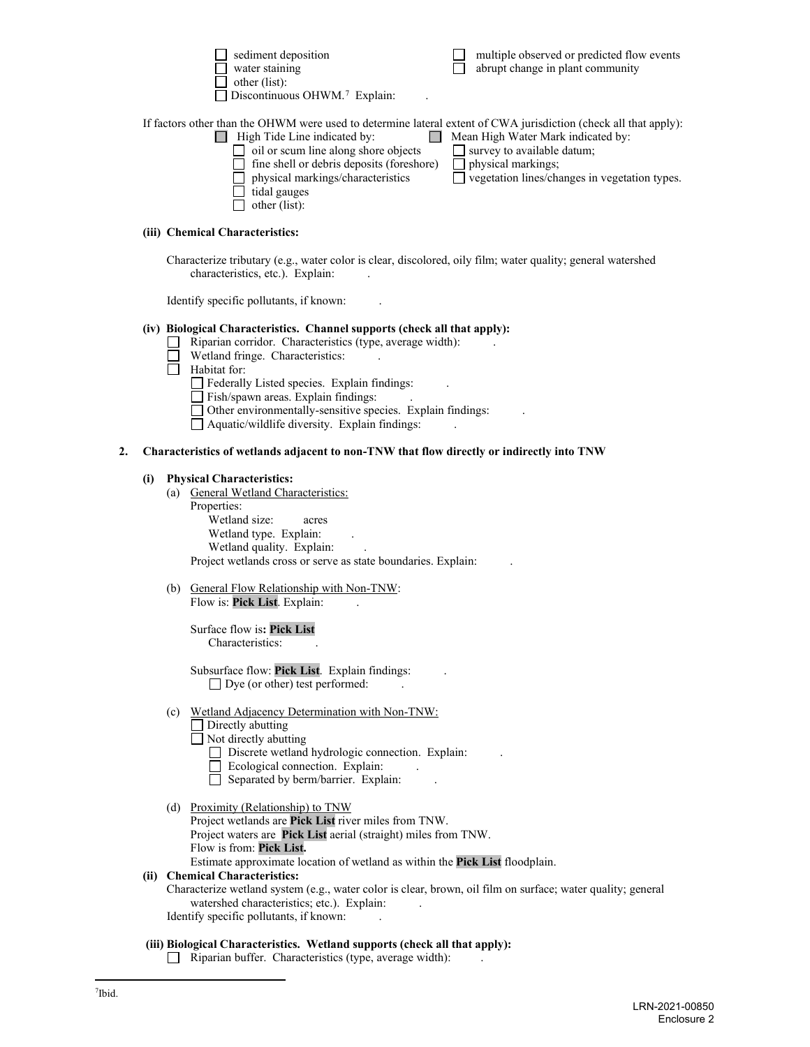| water staining                                                                                                   | abrupt change in plant community              |
|------------------------------------------------------------------------------------------------------------------|-----------------------------------------------|
| other (list):                                                                                                    |                                               |
| $\Box$ Discontinuous OHWM. <sup>7</sup> Explain:                                                                 |                                               |
| If factors other than the OHWM were used to determine lateral extent of CWA jurisdiction (check all that apply): |                                               |
| High Tide Line indicated by:                                                                                     | Mean High Water Mark indicated by:            |
| oil or scum line along shore objects<br>$\blacksquare$                                                           | $\Box$ survey to available datum;             |
| fine shell or debris deposits (foreshore)                                                                        | $\Box$ physical markings;                     |
| physical markings/characteristics                                                                                | vegetation lines/changes in vegetation types. |
| tidal gauges                                                                                                     |                                               |
| other (list):                                                                                                    |                                               |
|                                                                                                                  |                                               |

sediment deposition multiple observed or predicted flow events

#### **(iii) Chemical Characteristics:**

Characterize tributary (e.g., water color is clear, discolored, oily film; water quality; general watershed characteristics, etc.). Explain:

Identify specific pollutants, if known: .

#### **(iv) Biological Characteristics. Channel supports (check all that apply):**

- Riparian corridor. Characteristics (type, average width): .  $\Box$ 
	- Wetland fringe. Characteristics:
- $\overline{\Box}$  Habitat for:

Federally Listed species. Explain findings:

- Fish/spawn areas. Explain findings: .
- Other environmentally-sensitive species. Explain findings: .
- $\Box$  Aquatic/wildlife diversity. Explain findings:

#### **2. Characteristics of wetlands adjacent to non-TNW that flow directly or indirectly into TNW**

#### **(i) Physical Characteristics:**

(a) General Wetland Characteristics:

Properties: Wetland size: acres Wetland type. Explain: Wetland quality. Explain: Project wetlands cross or serve as state boundaries. Explain: .

(b) General Flow Relationship with Non-TNW: Flow is: Pick List. Explain:

Surface flow is**: Pick List**  Characteristics:

Subsurface flow: **Pick List**. Explain findings: .  $\Box$  Dye (or other) test performed:

- (c) Wetland Adjacency Determination with Non-TNW:
	- $\Box$  Directly abutting

Not directly abutting

- Discrete wetland hydrologic connection. Explain: .
- Ecological connection. Explain: .
- $\Box$  Separated by berm/barrier. Explain:
- (d) Proximity (Relationship) to TNW

Project wetlands are **Pick List** river miles from TNW. Project waters are **Pick List** aerial (straight) miles from TNW. Flow is from: **Pick List.** Estimate approximate location of wetland as within the **Pick List** floodplain.

#### **(ii) Chemical Characteristics:**

Characterize wetland system (e.g., water color is clear, brown, oil film on surface; water quality; general watershed characteristics; etc.). Explain: Identify specific pollutants, if known: .

#### <span id="page-3-0"></span>**(iii) Biological Characteristics. Wetland supports (check all that apply):**

 $\Box$  Riparian buffer. Characteristics (type, average width):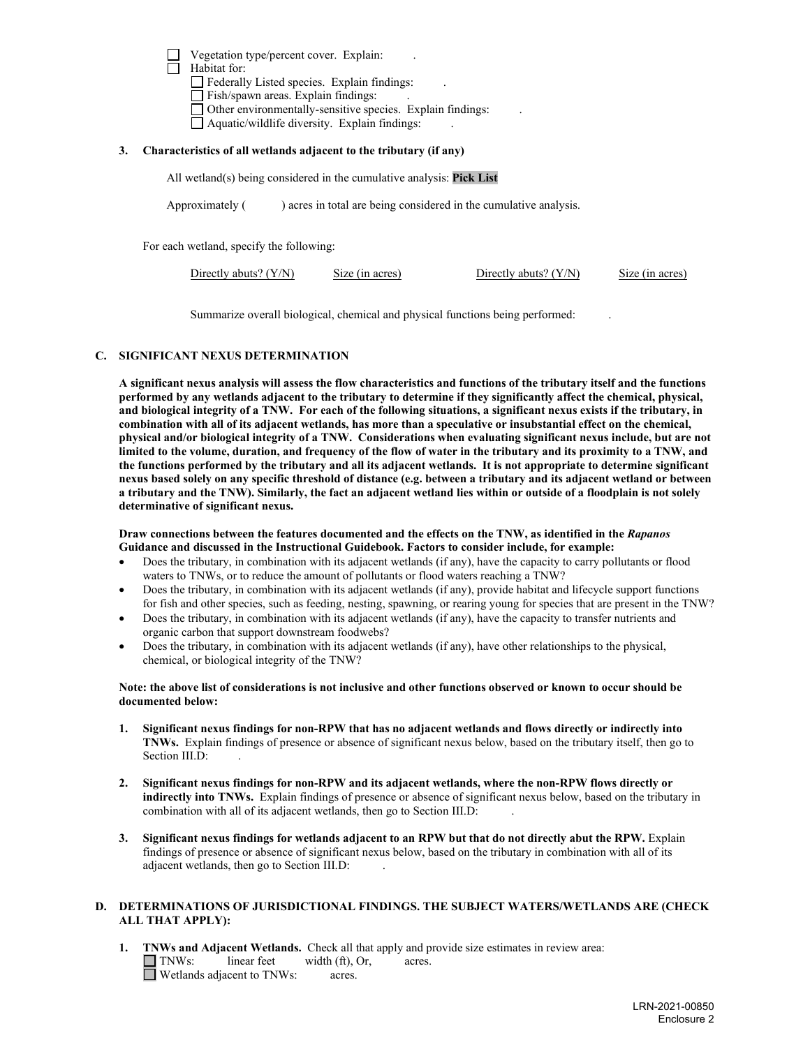Vegetation type/percent cover. Explain: . Habitat for: Federally Listed species. Explain findings: Fish/spawn areas. Explain findings: Other environmentally-sensitive species. Explain findings: .  $\Box$  Aquatic/wildlife diversity. Explain findings:

#### **3. Characteristics of all wetlands adjacent to the tributary (if any)**

All wetland(s) being considered in the cumulative analysis: **Pick List**

Approximately () acres in total are being considered in the cumulative analysis.

For each wetland, specify the following:

| Directly abuts? $(Y/N)$ | Size (in acres) | Directly abuts? $(Y/N)$ | Size (in acres) |
|-------------------------|-----------------|-------------------------|-----------------|
|                         |                 |                         |                 |

Summarize overall biological, chemical and physical functions being performed: .

#### **C. SIGNIFICANT NEXUS DETERMINATION**

**A significant nexus analysis will assess the flow characteristics and functions of the tributary itself and the functions performed by any wetlands adjacent to the tributary to determine if they significantly affect the chemical, physical, and biological integrity of a TNW. For each of the following situations, a significant nexus exists if the tributary, in combination with all of its adjacent wetlands, has more than a speculative or insubstantial effect on the chemical, physical and/or biological integrity of a TNW. Considerations when evaluating significant nexus include, but are not limited to the volume, duration, and frequency of the flow of water in the tributary and its proximity to a TNW, and the functions performed by the tributary and all its adjacent wetlands. It is not appropriate to determine significant nexus based solely on any specific threshold of distance (e.g. between a tributary and its adjacent wetland or between a tributary and the TNW). Similarly, the fact an adjacent wetland lies within or outside of a floodplain is not solely determinative of significant nexus.**

#### **Draw connections between the features documented and the effects on the TNW, as identified in the** *Rapanos* **Guidance and discussed in the Instructional Guidebook. Factors to consider include, for example:**

- Does the tributary, in combination with its adjacent wetlands (if any), have the capacity to carry pollutants or flood waters to TNWs, or to reduce the amount of pollutants or flood waters reaching a TNW?
- Does the tributary, in combination with its adjacent wetlands (if any), provide habitat and lifecycle support functions for fish and other species, such as feeding, nesting, spawning, or rearing young for species that are present in the TNW?
- Does the tributary, in combination with its adjacent wetlands (if any), have the capacity to transfer nutrients and organic carbon that support downstream foodwebs?
- Does the tributary, in combination with its adjacent wetlands (if any), have other relationships to the physical, chemical, or biological integrity of the TNW?

#### **Note: the above list of considerations is not inclusive and other functions observed or known to occur should be documented below:**

- **1. Significant nexus findings for non-RPW that has no adjacent wetlands and flows directly or indirectly into TNWs.** Explain findings of presence or absence of significant nexus below, based on the tributary itself, then go to Section III.D:
- **2. Significant nexus findings for non-RPW and its adjacent wetlands, where the non-RPW flows directly or indirectly into TNWs.** Explain findings of presence or absence of significant nexus below, based on the tributary in combination with all of its adjacent wetlands, then go to Section III.D:
- **3. Significant nexus findings for wetlands adjacent to an RPW but that do not directly abut the RPW.** Explain findings of presence or absence of significant nexus below, based on the tributary in combination with all of its adjacent wetlands, then go to Section III.D: .

## **D. DETERMINATIONS OF JURISDICTIONAL FINDINGS. THE SUBJECT WATERS/WETLANDS ARE (CHECK ALL THAT APPLY):**

**1. INWs and Adjacent Wetlands.** Check all that apply and provide size estimates in review area:<br> **INWs:** linear feet width (ft). Or. acres.  $linear feet \t width (ft), Or, \t acres.$ Wetlands adjacent to TNWs: acres.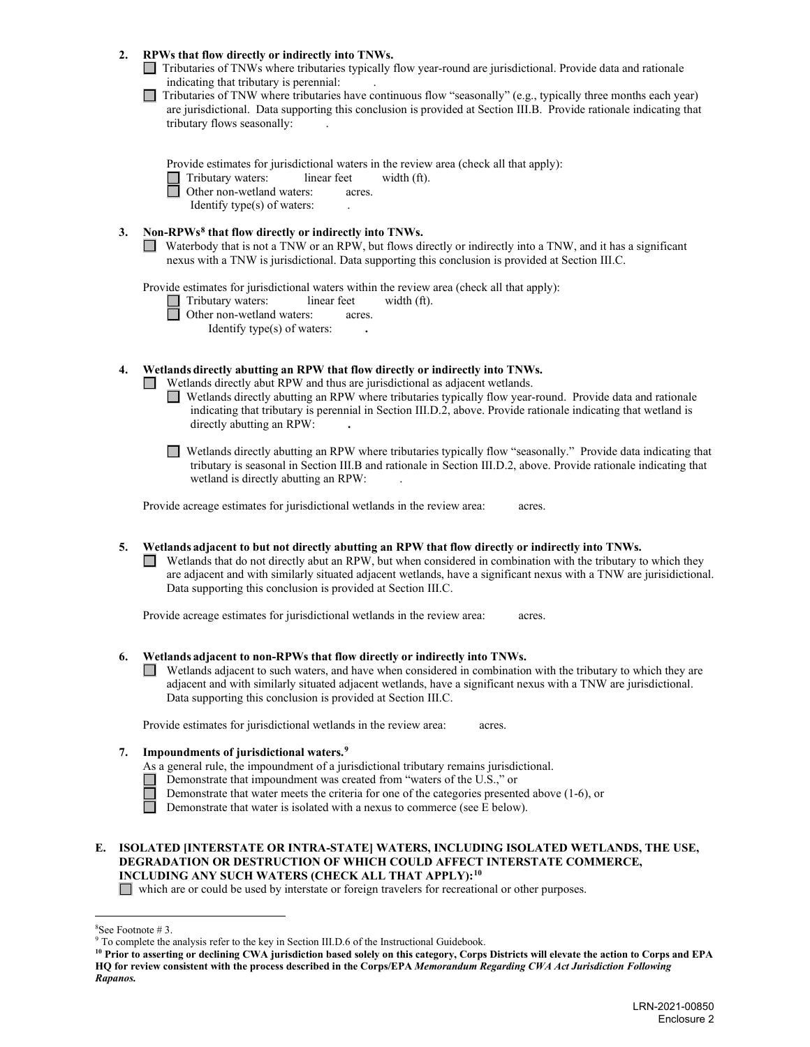#### **2. RPWs that flow directly or indirectly into TNWs.**

Tributaries of TNWs where tributaries typically flow year-round are jurisdictional. Provide data and rationale indicating that tributary is perennial: .

 $\Box$  Tributaries of TNW where tributaries have continuous flow "seasonally" (e.g., typically three months each year) are jurisdictional. Data supporting this conclusion is provided at Section III.B. Provide rationale indicating that tributary flows seasonally: .

Provide estimates for jurisdictional waters in the review area (check all that apply):

Tributary waters: linear feet width (ft).<br>
Other non-wetland waters: acres. Other non-wetland waters:acres.

Identify type $(s)$  of waters:

## **3. Non-RPWs[8](#page-5-0) that flow directly or indirectly into TNWs.**

Waterbody that is not a TNW or an RPW, but flows directly or indirectly into a TNW, and it has a significant nexus with a TNW is jurisdictional. Data supporting this conclusion is provided at Section III.C.

Provide estimates for jurisdictional waters within the review area (check all that apply):

Tributary waters: linear feet width (ft).<br>
Other non-wetland waters: acres. Other non-wetland waters: acres. Identify type(s) of waters: **.** 

**4. Wetlands directly abutting an RPW that flow directly or indirectly into TNWs.**

- Wetlands directly abut RPW and thus are jurisdictional as adjacent wetlands.
	- Wetlands directly abutting an RPW where tributaries typically flow year-round. Provide data and rationale indicating that tributary is perennial in Section III.D.2, above. Provide rationale indicating that wetland is directly abutting an RPW: **.**
	- Wetlands directly abutting an RPW where tributaries typically flow "seasonally." Provide data indicating that tributary is seasonal in Section III.B and rationale in Section III.D.2, above. Provide rationale indicating that wetland is directly abutting an RPW: .

Provide acreage estimates for jurisdictional wetlands in the review area: acres.

**5. Wetlands adjacent to but not directly abutting an RPW that flow directly or indirectly into TNWs.**  $\Box$  Wetlands that do not directly abut an RPW, but when considered in combination with the tributary to which they are adjacent and with similarly situated adjacent wetlands, have a significant nexus with a TNW are jurisidictional. Data supporting this conclusion is provided at Section III.C.

Provide acreage estimates for jurisdictional wetlands in the review area: acres.

## **6. Wetlands adjacent to non-RPWs that flow directly or indirectly into TNWs.**

Wetlands adjacent to such waters, and have when considered in combination with the tributary to which they are  $\mathbf{L}$ adjacent and with similarly situated adjacent wetlands, have a significant nexus with a TNW are jurisdictional. Data supporting this conclusion is provided at Section III.C.

Provide estimates for jurisdictional wetlands in the review area: acres.

## **7. Impoundments of jurisdictional waters.[9](#page-5-1)**

As a general rule, the impoundment of a jurisdictional tributary remains jurisdictional.

- Demonstrate that impoundment was created from "waters of the U.S.," or
	- Demonstrate that water meets the criteria for one of the categories presented above (1-6), or

Demonstrate that water is isolated with a nexus to commerce (see E below).

## **E. ISOLATED [INTERSTATE OR INTRA-STATE] WATERS, INCLUDING ISOLATED WETLANDS, THE USE, DEGRADATION OR DESTRUCTION OF WHICH COULD AFFECT INTERSTATE COMMERCE, INCLUDING ANY SUCH WATERS (CHECK ALL THAT APPLY):[10](#page-5-2)**

which are or could be used by interstate or foreign travelers for recreational or other purposes.

<span id="page-5-0"></span> $8$ See Footnote #3.

 $9$  To complete the analysis refer to the key in Section III.D.6 of the Instructional Guidebook.

<span id="page-5-2"></span><span id="page-5-1"></span>**<sup>10</sup> Prior to asserting or declining CWA jurisdiction based solely on this category, Corps Districts will elevate the action to Corps and EPA HQ for review consistent with the process described in the Corps/EPA** *Memorandum Regarding CWA Act Jurisdiction Following Rapanos.*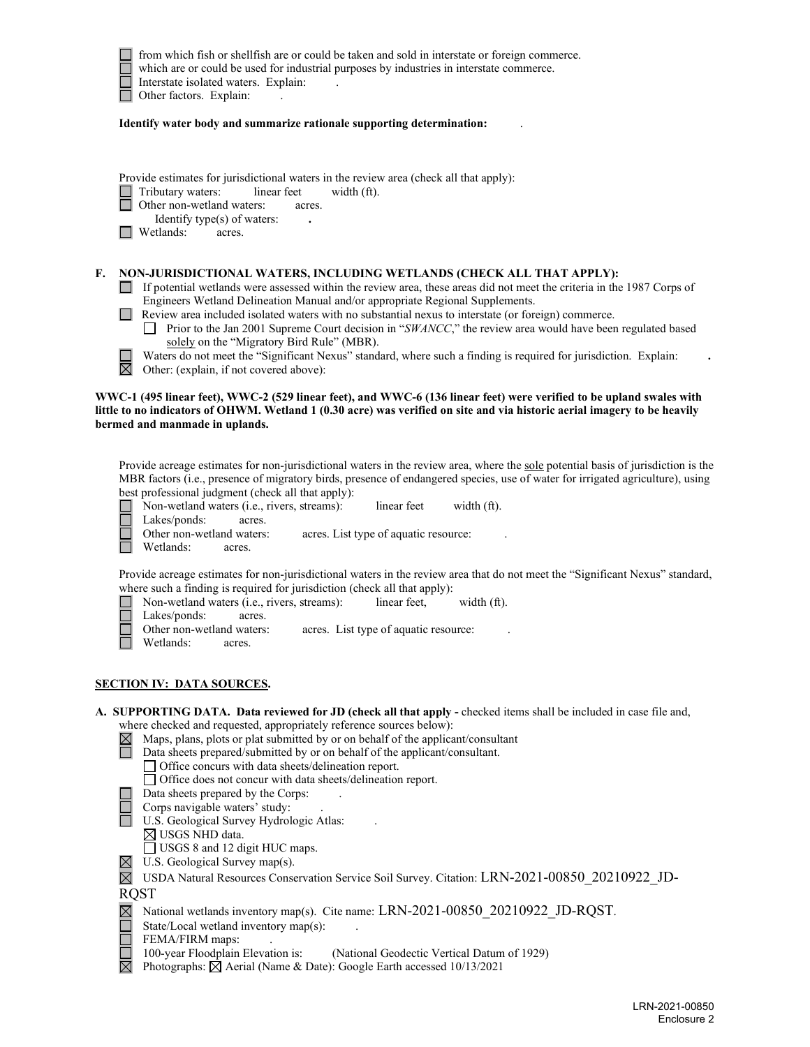

 from which fish or shellfish are or could be taken and sold in interstate or foreign commerce. which are or could be used for industrial purposes by industries in interstate commerce. Interstate isolated waters. Explain:<br>
Other factors. Explain: Other factors. Explain:

**Identify water body and summarize rationale supporting determination:** .

|  | Provide estimates for jurisdictional waters in the review area (check all that apply): |
|--|----------------------------------------------------------------------------------------|
|  |                                                                                        |

Tributary waters: linear feet width (ft).

Other non-wetland waters: acres.

Identify type(s) of waters: **.**

**N** Wetlands: acres.

#### **F. NON-JURISDICTIONAL WATERS, INCLUDING WETLANDS (CHECK ALL THAT APPLY):**

- If potential wetlands were assessed within the review area, these areas did not meet the criteria in the 1987 Corps of Engineers Wetland Delineation Manual and/or appropriate Regional Supplements.
- Review area included isolated waters with no substantial nexus to interstate (or foreign) commerce.
	- Prior to the Jan 2001 Supreme Court decision in "*SWANCC*," the review area would have been regulated based solely on the "Migratory Bird Rule" (MBR).
	- Waters do not meet the "Significant Nexus" standard, where such a finding is required for jurisdiction. Explain:

岗 Other: (explain, if not covered above):

#### **WWC-1 (495 linear feet), WWC-2 (529 linear feet), and WWC-6 (136 linear feet) were verified to be upland swales with little to no indicators of OHWM. Wetland 1 (0.30 acre) was verified on site and via historic aerial imagery to be heavily bermed and manmade in uplands.**

Provide acreage estimates for non-jurisdictional waters in the review area, where the sole potential basis of jurisdiction is the MBR factors (i.e., presence of migratory birds, presence of endangered species, use of water for irrigated agriculture), using best professional judgment (check all that apply):

Non-wetland waters (i.e., rivers, streams):linear feetwidth (ft). Lakes/ponds: acres. Other non-wetland waters: acres. List type of aquatic resource: Wetlands: acres.

Provide acreage estimates for non-jurisdictional waters in the review area that do not meet the "Significant Nexus" standard, where such a finding is required for jurisdiction (check all that apply):

- Non-wetland waters (i.e., rivers, streams):linear feet, width (ft).
- Lakes/ponds: acres.
	- Other non-wetland waters: acres. List type of aquatic resource:
- Wetlands: acres.
- **SECTION IV: DATA SOURCES.**

#### A. SUPPORTING DATA. Data reviewed for JD (check all that apply - checked items shall be included in case file and, where checked and requested, appropriately reference sources below):

- $\boxtimes$  Maps, plans, plots or plat submitted by or on behalf of the applicant/consultant
	- Data sheets prepared/submitted by or on behalf of the applicant/consultant.
	- Office concurs with data sheets/delineation report.
	- Office does not concur with data sheets/delineation report.
- $\Box$  Data sheets prepared by the Corps:
- $\Box$  Corps navigable waters' study:
- U.S. Geological Survey Hydrologic Atlas:
	- $\boxtimes$  USGS NHD data.
	- USGS 8 and 12 digit HUC maps.
- $\boxtimes$  U.S. Geological Survey map(s).
- USDA Natural Resources Conservation Service Soil Survey. Citation: LRN-2021-00850\_20210922\_JD-**ROST**
- $\boxtimes$  National wetlands inventory map(s). Cite name: LRN-2021-00850 20210922 JD-RQST.
- State/Local wetland inventory map(s):
- 
- FEMA/FIRM maps:<br>100-year Floodplain Elevation is: (National Geodectic Vertical Datum of 1929)
- $\boxtimes$  Photographs:  $\boxtimes$  Aerial (Name & Date): Google Earth accessed 10/13/2021